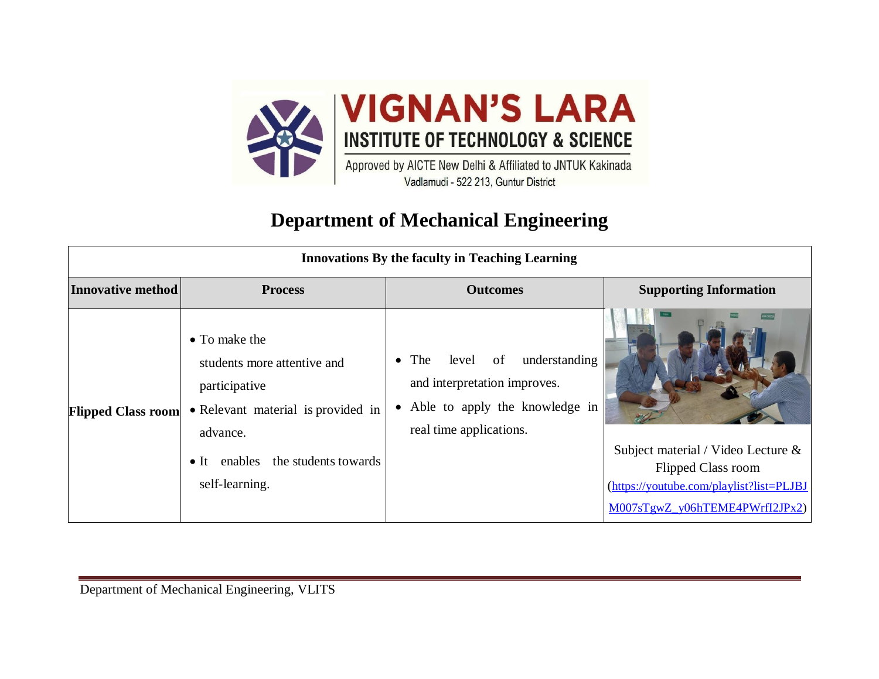

## **Department of Mechanical Engineering**

| <b>Innovations By the faculty in Teaching Learning</b> |                                                                                                                                                                                           |                                                                                                                                                         |                                                                                                                                               |
|--------------------------------------------------------|-------------------------------------------------------------------------------------------------------------------------------------------------------------------------------------------|---------------------------------------------------------------------------------------------------------------------------------------------------------|-----------------------------------------------------------------------------------------------------------------------------------------------|
| Innovative method                                      | <b>Process</b>                                                                                                                                                                            | <b>Outcomes</b>                                                                                                                                         | <b>Supporting Information</b>                                                                                                                 |
| <b>Flipped Class room</b>                              | $\bullet$ To make the<br>students more attentive and<br>participative<br>• Relevant material is provided in<br>advance.<br>enables the students towards<br>$\bullet$ It<br>self-learning. | understanding<br>$\bullet$ The<br>of<br>level<br>and interpretation improves.<br>Able to apply the knowledge in<br>$\bullet$<br>real time applications. | Subject material / Video Lecture &<br><b>Flipped Class room</b><br>(https://youtube.com/playlist?list=PLJBJ<br>M007sTgwZ_y06hTEME4PWrfI2JPx2) |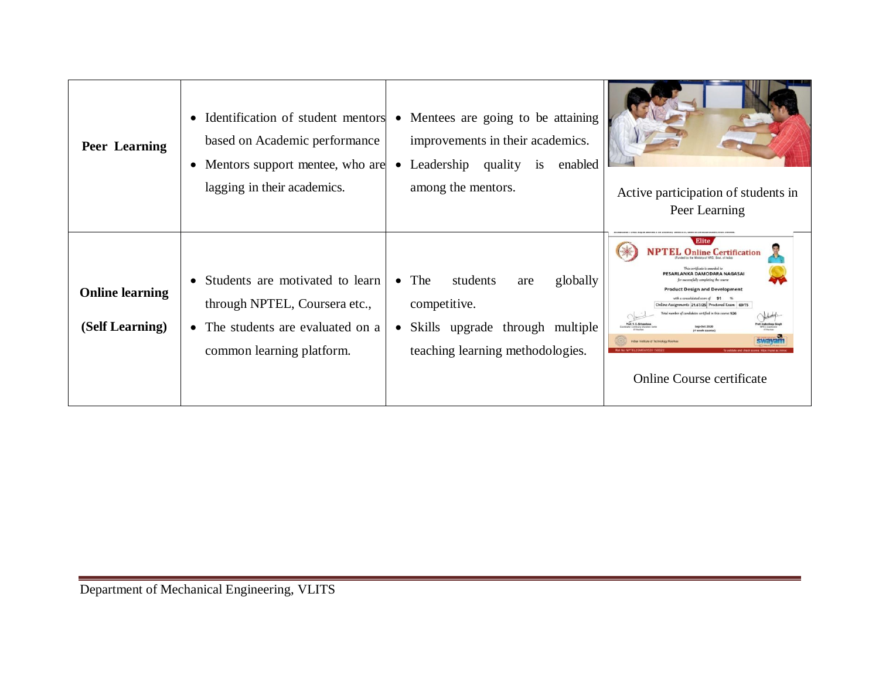| <b>Peer Learning</b>                      | Identification of student mentors<br>$\bullet$<br>based on Academic performance<br>• Mentors support mentee, who are<br>lagging in their academics. | • Mentees are going to be attaining<br>improvements in their academics.<br>Leadership<br>quality<br>enabled<br>$\overline{1}S$<br>$\bullet$<br>among the mentors. | Active participation of students in<br>Peer Learning                                                                                                                                                                                                                                                                                                                                                                                                                  |
|-------------------------------------------|-----------------------------------------------------------------------------------------------------------------------------------------------------|-------------------------------------------------------------------------------------------------------------------------------------------------------------------|-----------------------------------------------------------------------------------------------------------------------------------------------------------------------------------------------------------------------------------------------------------------------------------------------------------------------------------------------------------------------------------------------------------------------------------------------------------------------|
| <b>Online learning</b><br>(Self Learning) | • Students are motivated to learn<br>through NPTEL, Coursera etc.,<br>• The students are evaluated on a<br>common learning platform.                | $\bullet$ The<br>students<br>globally<br>are<br>competitive.<br>• Skills upgrade through multiple<br>teaching learning methodologies.                             | Elite<br>$\epsilon$ L Online Certification<br>This certificate is awarded to<br>PESARLANKA DAMODARA NAGASAI<br>constitully completing the cours<br><b>Product Design and Development</b><br>with a consolidated score of 91 %<br>Online Assignments 21.67/25 Proctored Exam 69/75<br>nher of candidates certified in this course: 926<br>yet, V.C. Sriva<br>Sep-Oct 2020<br>14 week course<br>dan Institute of Technology Roorker<br><b>Online Course certificate</b> |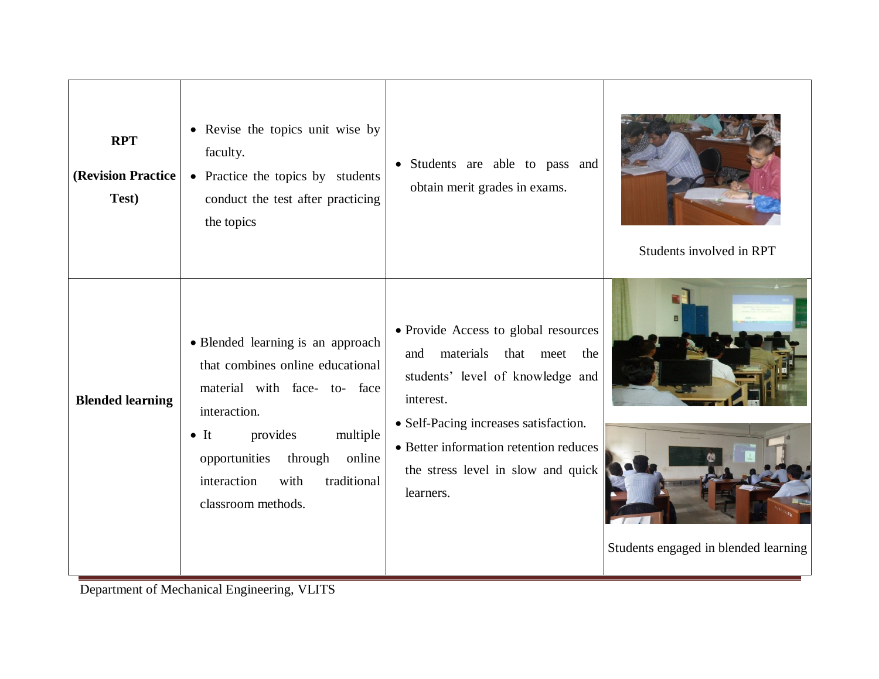| <b>RPT</b><br>(Revision Practice<br>Test) | • Revise the topics unit wise by<br>faculty.<br>• Practice the topics by students<br>conduct the test after practicing<br>the topics                                                                                                                         | Students are able to pass and<br>$\bullet$<br>obtain merit grades in exams.                                                                                                                                                                                         | Students involved in RPT             |
|-------------------------------------------|--------------------------------------------------------------------------------------------------------------------------------------------------------------------------------------------------------------------------------------------------------------|---------------------------------------------------------------------------------------------------------------------------------------------------------------------------------------------------------------------------------------------------------------------|--------------------------------------|
| <b>Blended learning</b>                   | • Blended learning is an approach<br>that combines online educational<br>material with face- to- face<br>interaction.<br>provides<br>multiple<br>$\bullet$ It<br>opportunities through<br>online<br>interaction<br>traditional<br>with<br>classroom methods. | • Provide Access to global resources<br>materials<br>that meet<br>and<br>the<br>students' level of knowledge and<br>interest.<br>• Self-Pacing increases satisfaction.<br>• Better information retention reduces<br>the stress level in slow and quick<br>learners. | Students engaged in blended learning |

Department of Mechanical Engineering, VLITS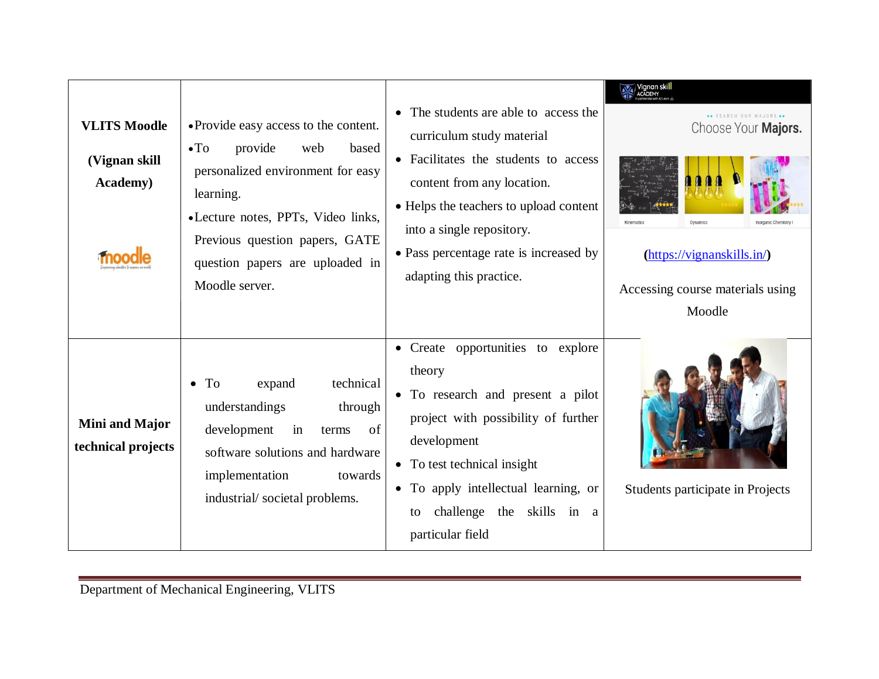| <b>VLITS Moodle</b><br>(Vignan skill)<br><b>Academy</b> ) | • Provide easy access to the content.<br>$\bullet$ To<br>provide<br>web<br>based<br>personalized environment for easy<br>learning.<br>•Lecture notes, PPTs, Video links,<br>Previous question papers, GATE<br>question papers are uploaded in<br>Moodle server. | • The students are able to access the<br>curriculum study material<br>• Facilitates the students to access<br>content from any location.<br>• Helps the teachers to upload content<br>into a single repository.<br>• Pass percentage rate is increased by<br>adapting this practice. | Choose Your Majors.<br>Dynamics<br>$(\frac{https://vignanskills.in/}{$<br>Accessing course materials using<br>Moodle |
|-----------------------------------------------------------|-----------------------------------------------------------------------------------------------------------------------------------------------------------------------------------------------------------------------------------------------------------------|--------------------------------------------------------------------------------------------------------------------------------------------------------------------------------------------------------------------------------------------------------------------------------------|----------------------------------------------------------------------------------------------------------------------|
| <b>Mini and Major</b><br>technical projects               | $\bullet$ To<br>technical<br>expand<br>understandings<br>through<br>development<br>in<br>of<br>terms<br>software solutions and hardware<br>implementation<br>towards<br>industrial/societal problems.                                                           | • Create opportunities to explore<br>theory<br>• To research and present a pilot<br>project with possibility of further<br>development<br>• To test technical insight<br>• To apply intellectual learning, or<br>challenge the skills in a<br>to<br>particular field                 | Students participate in Projects                                                                                     |

Department of Mechanical Engineering, VLITS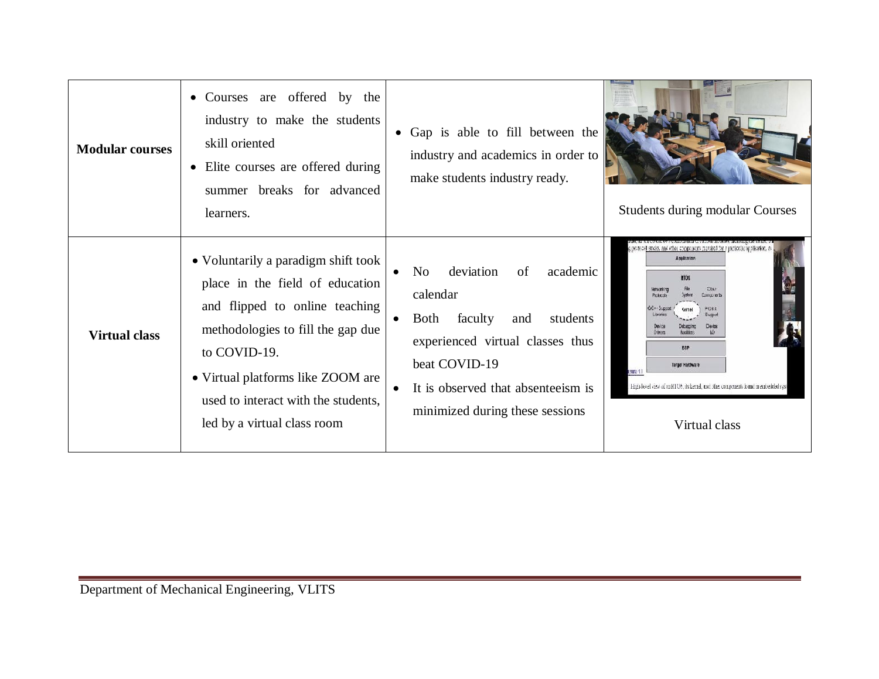| <b>Modular courses</b> | • Courses are offered by the<br>industry to make the students<br>skill oriented<br>• Elite courses are offered during<br>summer breaks for advanced<br>learners.                                                                                                         | • Gap is able to fill between the<br>industry and academics in order to<br>make students industry ready.                                                                                                                                 | <b>Students during modular Courses</b>                                                                                                                                                                                                                                                                                                                 |
|------------------------|--------------------------------------------------------------------------------------------------------------------------------------------------------------------------------------------------------------------------------------------------------------------------|------------------------------------------------------------------------------------------------------------------------------------------------------------------------------------------------------------------------------------------|--------------------------------------------------------------------------------------------------------------------------------------------------------------------------------------------------------------------------------------------------------------------------------------------------------------------------------------------------------|
| <b>Virtual class</b>   | • Voluntarily a paradigm shift took<br>place in the field of education<br>and flipped to online teaching<br>methodologies to fill the gap due<br>to COVID-19.<br>• Virtual platforms like ZOOM are<br>used to interact with the students,<br>led by a virtual class room | deviation<br>of<br>academic<br>N <sub>o</sub><br>calendar<br>Both faculty<br>students<br>and<br>$\bullet$<br>experienced virtual classes thus<br>beat COVID-19<br>It is observed that absenteelism is<br>minimized during these sessions | g protocoll stacks, and other components required for a particular application, as<br>Applicators<br><b>ETOS</b><br>Oter:<br>Metrovarki raz<br>Components<br><b>POSX</b><br>Sumort<br><b>Denos</b><br><b>BEP</b><br>Target Hardware<br>sure 4.1<br>High-level view of an KFOS, its kernel, and this components found in embedded syst<br>Virtual class |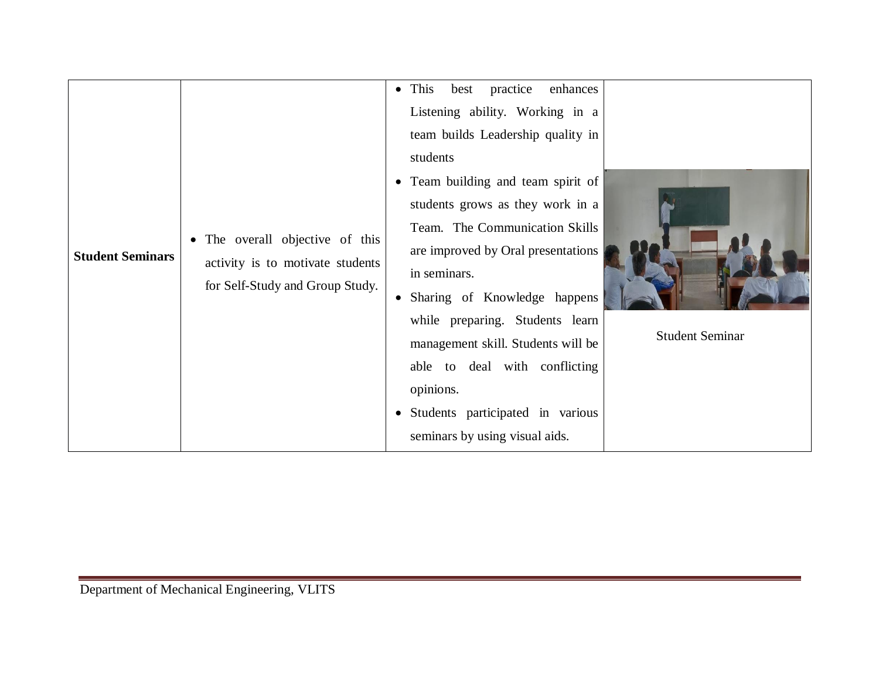| <b>Student Seminars</b> | • The overall objective of this<br>activity is to motivate students<br>for Self-Study and Group Study. | $\bullet$ This<br>practice<br>best<br>enhances<br>Listening ability. Working in a<br>team builds Leadership quality in<br>students<br>• Team building and team spirit of<br>students grows as they work in a<br>Team. The Communication Skills<br>are improved by Oral presentations<br>in seminars.<br>• Sharing of Knowledge happens<br>while preparing. Students learn<br>management skill. Students will be<br>able to deal with conflicting<br>opinions.<br>• Students participated in various<br>seminars by using visual aids. | <b>Student Seminar</b> |
|-------------------------|--------------------------------------------------------------------------------------------------------|---------------------------------------------------------------------------------------------------------------------------------------------------------------------------------------------------------------------------------------------------------------------------------------------------------------------------------------------------------------------------------------------------------------------------------------------------------------------------------------------------------------------------------------|------------------------|
|-------------------------|--------------------------------------------------------------------------------------------------------|---------------------------------------------------------------------------------------------------------------------------------------------------------------------------------------------------------------------------------------------------------------------------------------------------------------------------------------------------------------------------------------------------------------------------------------------------------------------------------------------------------------------------------------|------------------------|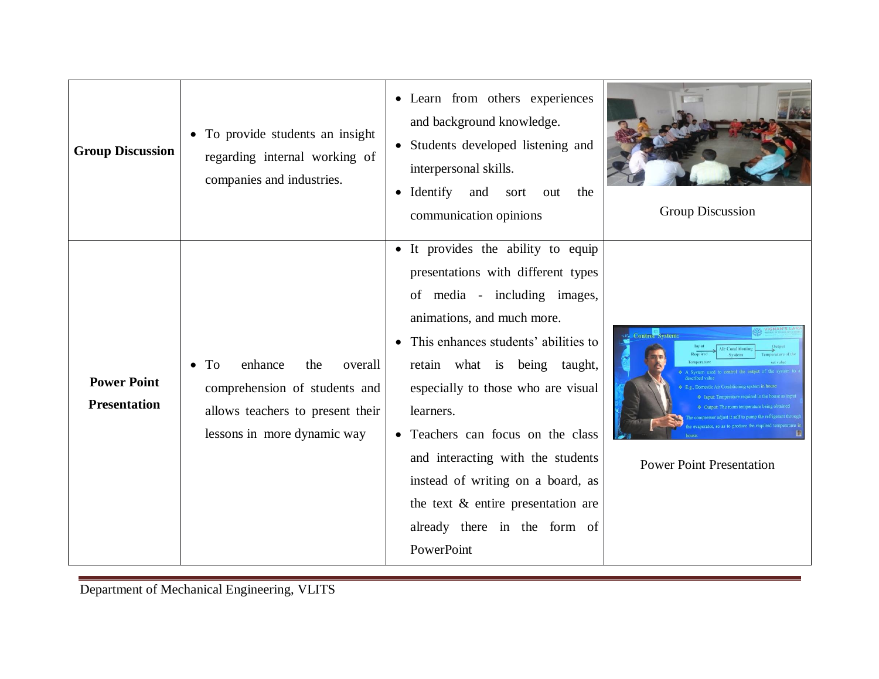| <b>Group Discussion</b>                   | • To provide students an insight<br>regarding internal working of<br>companies and industries.                                      | · Learn from others experiences<br>and background knowledge.<br>• Students developed listening and<br>interpersonal skills.<br>$\bullet$ Identify<br>and<br>sort<br>the<br>out<br>communication opinions                                                                                                                                                                                                                                                                  | <b>Group Discussion</b>         |
|-------------------------------------------|-------------------------------------------------------------------------------------------------------------------------------------|---------------------------------------------------------------------------------------------------------------------------------------------------------------------------------------------------------------------------------------------------------------------------------------------------------------------------------------------------------------------------------------------------------------------------------------------------------------------------|---------------------------------|
| <b>Power Point</b><br><b>Presentation</b> | enhance<br>To<br>the<br>overall<br>comprehension of students and<br>allows teachers to present their<br>lessons in more dynamic way | • It provides the ability to equip<br>presentations with different types<br>of media - including images,<br>animations, and much more.<br>• This enhances students' abilities to<br>retain what is being taught,<br>especially to those who are visual<br>learners.<br>• Teachers can focus on the class<br>and interacting with the students<br>instead of writing on a board, as<br>the text $\&$ entire presentation are<br>already there in the form of<br>PowerPoint | <b>Power Point Presentation</b> |

Department of Mechanical Engineering, VLITS